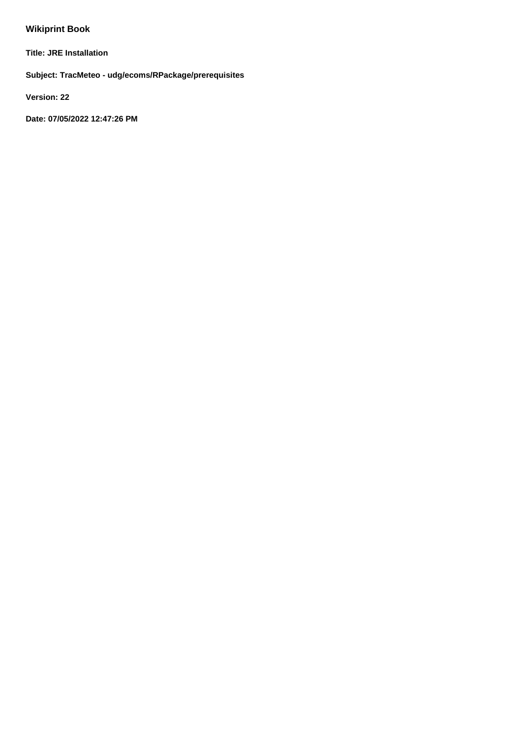# **Wikiprint Book**

**Title: JRE Installation**

**Subject: TracMeteo - udg/ecoms/RPackage/prerequisites**

**Version: 22**

**Date: 07/05/2022 12:47:26 PM**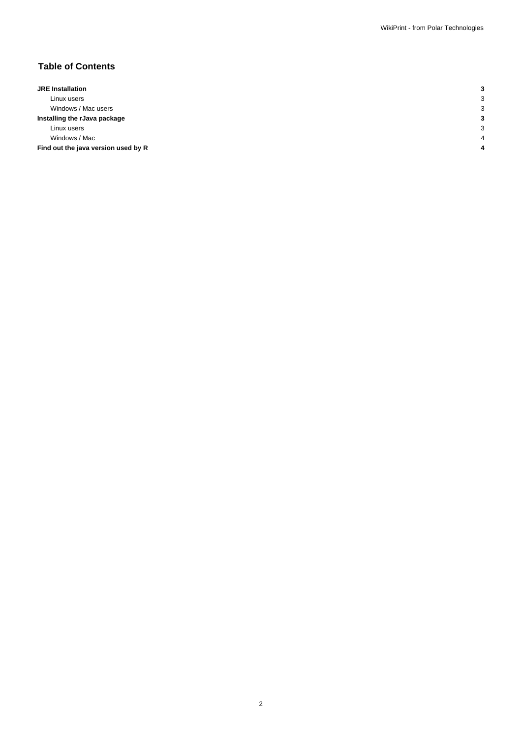## **Table of Contents**

| <b>JRE</b> Installation             |        |
|-------------------------------------|--------|
| Linux users                         | p<br>Ñ |
| Windows / Mac users                 | p<br>c |
| Installing the rJava package        |        |
| Linux users                         | p      |
| Windows / Mac                       |        |
| Find out the java version used by R |        |
|                                     |        |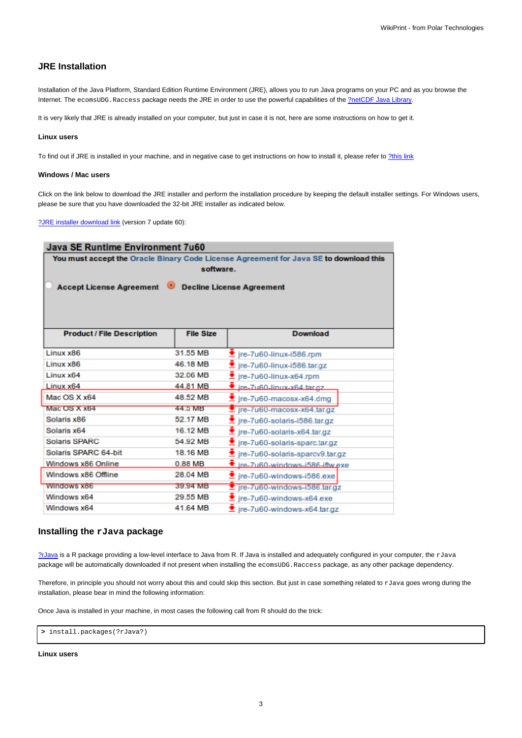## **JRE Installation**

Installation of the Java Platform, Standard Edition Runtime Environment (JRE), allows you to run Java programs on your PC and as you browse the Internet. The ecomsUDG.Raccess package needs the JRE in order to use the powerful capabilities of the [?netCDF Java Library.](http://www.unidata.ucar.edu/downloads/netcdf/netcdf-java-4/index.jsp)

It is very likely that JRE is already installed on your computer, but just in case it is not, here are some instructions on how to get it.

#### **Linux users**

To find out if JRE is installed in your machine, and in negative case to get instructions on how to install it, please refer to [?this link](http://ice.he.net/~hedden/jrelinux.html)

#### **Windows / Mac users**

Click on the link below to download the JRE installer and perform the installation procedure by keeping the default installer settings. For Windows users, please be sure that you have downloaded the 32-bit JRE installer as indicated below.

[?JRE installer download link](http://www.oracle.com/technetwork/java/javase/downloads/jre7-downloads-1880261.html) (version 7 update 60):

| Java SE Runtime Environment 7u60                                                      |                  |                                                    |  |
|---------------------------------------------------------------------------------------|------------------|----------------------------------------------------|--|
| You must accept the Oracle Binary Code License Agreement for Java SE to download this |                  |                                                    |  |
| software.                                                                             |                  |                                                    |  |
| Accept License Agreement Decline License Agreement                                    |                  |                                                    |  |
|                                                                                       |                  |                                                    |  |
|                                                                                       |                  |                                                    |  |
|                                                                                       |                  |                                                    |  |
| <b>Product / File Description</b>                                                     | <b>File Size</b> | <b>Download</b>                                    |  |
|                                                                                       |                  |                                                    |  |
| Linux x86                                                                             | 31.55 MB         | $\blacktriangleright$ jre-7u60-linux-i586.rpm      |  |
| Linux x86                                                                             | 46.18 MB         | $\blacktriangleright$ jre-7u60-linux-i586.tar.gz   |  |
| Linux x64                                                                             | 32.06 MB         | $\bullet$ jre-7u60-linux-x64.rpm                   |  |
| Linux x64                                                                             | 44.81 MB         | $\overline{\bullet}$ ire-7u60-linux-x64 tar.gz     |  |
| Mac OS X x64                                                                          | 48.52 MB         | $\bullet$ jre-7u60-macosx-x64.dmg                  |  |
| Mac OS X x64                                                                          | 44.5 MB          | $\overline{\mathbf{z}}$ jre-7u60-macosx-x64.tar.gz |  |
| Solaris x86                                                                           | 52.17 MB         | $\bullet$ jre-7u60-solaris-i586.tar.gz             |  |
| Solaris x64                                                                           | 16.12 MB         | $\blacktriangleright$ jre-7u60-solaris-x64.tar.gz  |  |
| <b>Solaris SPARC</b>                                                                  | 54.92 MB         | Let jre-7u60-solaris-sparc.tar.gz                  |  |
| Solaris SPARC 64-bit                                                                  | 18.16 MB         | Let ire-7u60-solaris-sparcv9.tar.gz                |  |
| Windows x86 Online                                                                    | 0.88 MB          | $\bullet$ ire-7u60-windows-i586-iftw.exe           |  |
| Windows x86 Offline                                                                   | 28.04 MB         | $\bullet$ jre-7u60-windows-i586.exe                |  |
| Windows x86                                                                           | 39.94 MB         | Tre-7u60-windows-i586.tar.gz                       |  |
| Windows x64                                                                           | 29.55 MB         | $\blacktriangleright$ jre-7u60-windows-x64.exe     |  |
| Windows x64                                                                           | 41.64 MB         | $\bullet$ ire-7u60-windows-x64.tar.gz              |  |

## **Installing the rJava package**

[?rJava](http://cran.r-project.org/web/packages/rJava/index.html) is a R package providing a low-level interface to Java from R. If Java is installed and adequately configured in your computer, the rJava package will be automatically downloaded if not present when installing the ecomsUDG.Raccess package, as any other package dependency.

Therefore, in principle you should not worry about this and could skip this section. But just in case something related to  $rJ$ ava goes wrong during the installation, please bear in mind the following information:

Once Java is installed in your machine, in most cases the following call from R should do the trick:

```
> install.packages(?rJava?)
```
#### **Linux users**